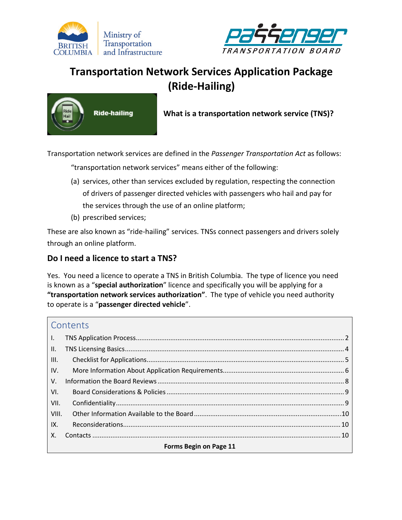



# **Transportation Network Services Application Package (Ride-Hailing)**



**What is a transportation network service (TNS)?**

Transportation network services are defined in the *Passenger Transportation Act* as follows:

"transportation network services" means either of the following:

- (a) services, other than services excluded by regulation, respecting the connection of drivers of passenger directed vehicles with passengers who hail and pay for the services through the use of an online platform;
- (b) prescribed services;

These are also known as "ride-hailing" services. TNSs connect passengers and drivers solely through an online platform.

# **Do I need a licence to start a TNS?**

Yes. You need a licence to operate a TNS in British Columbia. The type of licence you need is known as a "**special authorization**" licence and specifically you will be applying for a **"transportation network services authorization"**. The type of vehicle you need authority to operate is a "**passenger directed vehicle**".

# Contents

<span id="page-0-0"></span>

|                        | <u>CONCENTO</u> |  |  |  |
|------------------------|-----------------|--|--|--|
| $\mathbf{L}$           |                 |  |  |  |
| II.                    |                 |  |  |  |
| III.                   |                 |  |  |  |
| IV.                    |                 |  |  |  |
| V.                     |                 |  |  |  |
| VI.                    |                 |  |  |  |
| VII.                   |                 |  |  |  |
| VIII.                  |                 |  |  |  |
| IX.                    |                 |  |  |  |
| Χ.                     |                 |  |  |  |
| Forms Begin on Page 11 |                 |  |  |  |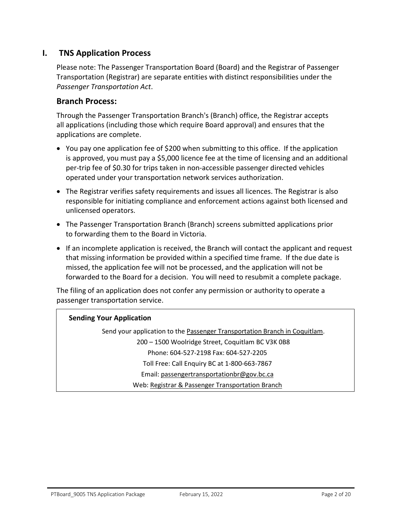# **I. TNS Application Process**

Please note: The Passenger Transportation Board (Board) and the Registrar of Passenger Transportation (Registrar) are separate entities with distinct responsibilities under the *Passenger Transportation Act*.

### **Branch Process:**

Through the Passenger Transportation Branch's (Branch) office, the Registrar accepts all applications (including those which require Board approval) and ensures that the applications are complete.

- You pay one application fee of \$200 when submitting to this office. If the application is approved, you must pay a \$5,000 licence fee at the time of licensing and an additional per-trip fee of \$0.30 for trips taken in non-accessible passenger directed vehicles operated under your transportation network services authorization.
- The Registrar verifies safety requirements and issues all licences. The Registrar is also responsible for initiating compliance and enforcement actions against both licensed and unlicensed operators.
- The Passenger Transportation Branch (Branch) screens submitted applications prior to forwarding them to the Board in Victoria.
- If an incomplete application is received, the Branch will contact the applicant and request that missing information be provided within a specified time frame. If the due date is missed, the application fee will not be processed, and the application will not be forwarded to the Board for a decision. You will need to resubmit a complete package.

The filing of an application does not confer any permission or authority to operate a passenger transportation service.

# **Sending Your Application** Send your application to the [Passenger Transportation Branch in Coquitlam.](https://www2.gov.bc.ca/gov/content/transportation/vehicle-safety-enforcement/services/passenger-transportation/contacts) 200 – 1500 Woolridge Street, Coquitlam BC V3K 0B8 Phone: 604-527-2198 Fax: 604-527-2205 Toll Free: Call Enquiry BC at 1-800-663-7867 Email: [passengertransportationbr@gov.bc.ca](mailto:passengertransportationbr@gov.bc.ca) Web: [Registrar & Passenger Transportation Branch](https://www2.gov.bc.ca/gov/content/transportation/vehicle-safety-enforcement/services/passenger-transportation)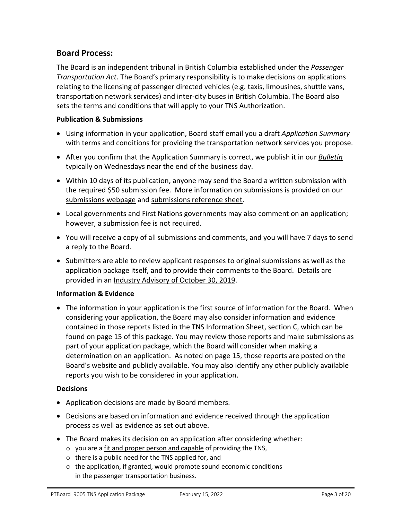# **Board Process:**

The Board is an independent tribunal in British Columbia established under the *Passenger Transportation Act*. The Board's primary responsibility is to make decisions on applications relating to the licensing of passenger directed vehicles (e.g. taxis, limousines, shuttle vans, transportation network services) and inter-city buses in British Columbia. The Board also sets the terms and conditions that will apply to your TNS Authorization.

### **Publication & Submissions**

- Using information in your application, Board staff email you a draft *Application Summary* with terms and conditions for providing the transportation network services you propose.
- After you confirm that the Application Summary is correct, we publish it in our *[Bulletin](https://www.ptboard.bc.ca/bulletins.htm)* typically on Wednesdays near the end of the business day.
- Within 10 days of its publication, anyone may send the Board a written submission with the required \$50 submission fee. More information on submissions is provided on our [submissions webpage](https://www.ptboard.bc.ca/making_submissions.htm) and [submissions reference sheet.](http://www.th.gov.bc.ca/forms/getForm.aspx?formId=1198)
- Local governments and First Nations governments may also comment on an application; however, a submission fee is not required.
- You will receive a copy of all submissions and comments, and you will have 7 days to send a reply to the Board.
- Submitters are able to review applicant responses to original submissions as well as the application package itself, and to provide their comments to the Board. Details are provided in an [Industry Advisory of October 30, 2019.](https://www.ptboard.bc.ca/documents/ia-tns-process-modification.pdf)

### **Information & Evidence**

• The information in your application is the first source of information for the Board. When considering your application, the Board may also consider information and evidence contained in those reports listed in the TNS Information Sheet, section C, which can be found on page 15 of this package. You may review those reports and make submissions as part of your application package, which the Board will consider when making a determination on an application. As noted on page 15, those reports are posted on the Board's website and publicly available. You may also identify any other publicly available reports you wish to be considered in your application.

### **Decisions**

- Application decisions are made by Board members.
- Decisions are based on information and evidence received through the application process as well as evidence as set out above.
- The Board makes its decision on an application after considering whether:
	- o you are [a fit and proper person and capable](http://www.th.gov.bc.ca/forms/getForm.aspx?formId=1358) of providing the TNS,
	- $\circ$  there is a public need for the TNS applied for, and
	- o the application, if granted, would promote sound economic conditions in the passenger transportation business.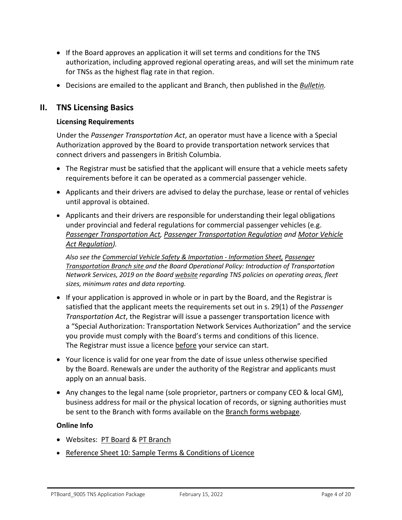- If the Board approves an application it will set terms and conditions for the TNS authorization, including approved regional operating areas, and will set the minimum rate for TNSs as the highest flag rate in that region.
- Decisions are emailed to the applicant and Branch, then published in the *[Bulletin.](https://www.ptboard.bc.ca/bulletins.htm)*

# <span id="page-3-0"></span>**II. TNS Licensing Basics**

### **Licensing Requirements**

Under the *Passenger Transportation Act*, an operator must have a licence with a Special Authorization approved by the Board to provide transportation network services that connect drivers and passengers in British Columbia.

- The Registrar must be satisfied that the applicant will ensure that a vehicle meets safety requirements before it can be operated as a commercial passenger vehicle.
- Applicants and their drivers are advised to delay the purchase, lease or rental of vehicles until approval is obtained.
- Applicants and their drivers are responsible for understanding their legal obligations under provincial and federal regulations for commercial passenger vehicles (e.g. *[Passenger Transportation Act,](http://www.bclaws.ca/EPLibraries/bclaws_new/document/ID/freeside/00_04039_01) Passenger [Transportation Regulation](http://www.bclaws.ca/EPLibraries/bclaws_new/document/ID/freeside/266_2004) and [Motor Vehicle](http://www.bclaws.ca/civix/document/id/complete/statreg/26_58_05#division_d2e9100) [Act Regulation\)](http://www.bclaws.ca/civix/document/id/complete/statreg/26_58_05#division_d2e9100).*

*Also see the [Commercial Vehicle Safety & Importation - Information Sheet,](http://www.th.gov.bc.ca/forms/getForm.aspx?formId=1240) [Passenger](http://www.th.gov.bc.ca/rpt/licence_new.htm)  [Transportation Branch site](http://www.th.gov.bc.ca/rpt/licence_new.htm) and the Board Operational Policy: Introduction of Transportation Network Services, 2019 on the Board [website](https://www.ptboard.bc.ca/TNS.htm) regarding TNS policies on operating areas, fleet sizes, minimum rates and data reporting.* 

- If your application is approved in whole or in part by the Board, and the Registrar is satisfied that the applicant meets the requirements set out in s. 29(1) of the *Passenger Transportation Act*, the Registrar will issue a passenger transportation licence with a "Special Authorization: Transportation Network Services Authorization" and the service you provide must comply with the Board's terms and conditions of this licence. The Registrar must issue a licence before your service can start.
- Your licence is valid for one year from the date of issue unless otherwise specified by the Board. Renewals are under the authority of the Registrar and applicants must apply on an annual basis.
- Any changes to the legal name (sole proprietor, partners or company CEO & local GM), business address for mail or the physical location of records, or signing authorities must be sent to the Branch with forms available on the [Branch forms webpage.](http://www.th.gov.bc.ca/forms/results.aspx?group=21)

### **Online Info**

- Websites: [PT Board](https://www.ptboard.bc.ca/) & [PT Branch](https://www.th.gov.bc.ca/rpt/index.htm)
- [Reference Sheet 10: Sample Terms & Conditions of Licence](https://www.th.gov.bc.ca/forms/getForm.aspx?formId=1201)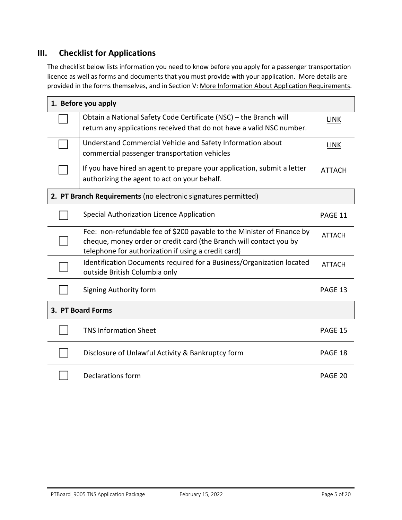# <span id="page-4-0"></span>**III. Checklist for Applications**

The checklist below lists information you need to know before you apply for a passenger transportation licence as well as forms and documents that you must provide with your application. More details are provided in the forms themselves, and in Section [V: More Information About Application Requirements.](#page-5-0)

| 1. Before you apply |                                                                                                                                                                                                     |               |  |  |
|---------------------|-----------------------------------------------------------------------------------------------------------------------------------------------------------------------------------------------------|---------------|--|--|
|                     | Obtain a National Safety Code Certificate (NSC) - the Branch will<br>return any applications received that do not have a valid NSC number.                                                          | <b>LINK</b>   |  |  |
|                     | Understand Commercial Vehicle and Safety Information about<br>commercial passenger transportation vehicles                                                                                          | <b>LINK</b>   |  |  |
|                     | If you have hired an agent to prepare your application, submit a letter<br>authorizing the agent to act on your behalf.                                                                             | <b>ATTACH</b> |  |  |
|                     | 2. PT Branch Requirements (no electronic signatures permitted)                                                                                                                                      |               |  |  |
|                     | Special Authorization Licence Application                                                                                                                                                           | PAGE 11       |  |  |
|                     | Fee: non-refundable fee of \$200 payable to the Minister of Finance by<br>cheque, money order or credit card (the Branch will contact you by<br>telephone for authorization if using a credit card) | <b>ATTACH</b> |  |  |
|                     | Identification Documents required for a Business/Organization located<br>outside British Columbia only                                                                                              | <b>ATTACH</b> |  |  |
|                     | Signing Authority form                                                                                                                                                                              | PAGE 13       |  |  |
|                     | 3. PT Board Forms                                                                                                                                                                                   |               |  |  |
|                     | <b>TNS Information Sheet</b>                                                                                                                                                                        | PAGE 15       |  |  |
|                     | Disclosure of Unlawful Activity & Bankruptcy form                                                                                                                                                   | PAGE 18       |  |  |
|                     | Declarations form                                                                                                                                                                                   | PAGE 20       |  |  |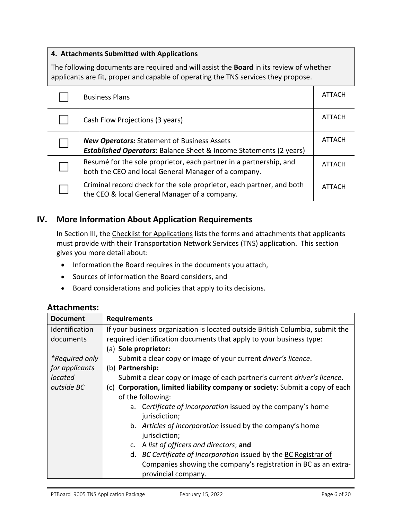### **4. Attachments Submitted with Applications**

The following documents are required and will assist the **Board** in its review of whether applicants are fit, proper and capable of operating the TNS services they propose.

| <b>Business Plans</b>                                                                                                           | <b>ATTACH</b> |
|---------------------------------------------------------------------------------------------------------------------------------|---------------|
| Cash Flow Projections (3 years)                                                                                                 | <b>ATTACH</b> |
| <b>New Operators:</b> Statement of Business Assets<br><b>Established Operators:</b> Balance Sheet & Income Statements (2 years) | <b>ATTACH</b> |
| Resumé for the sole proprietor, each partner in a partnership, and<br>both the CEO and local General Manager of a company.      | <b>ATTACH</b> |
| Criminal record check for the sole proprietor, each partner, and both<br>the CEO & local General Manager of a company.          | ATTACH        |

# <span id="page-5-0"></span>**IV. More Information About Application Requirements**

In Section [III,](#page-4-0) th[e Checklist for Applications](#page-4-0) lists the forms and attachments that applicants must provide with their Transportation Network Services (TNS) application. This section gives you more detail about:

- Information the Board requires in the documents you attach,
- Sources of information the Board considers, and
- Board considerations and policies that apply to its decisions.

### **Attachments:**

| <b>Document</b>       | <b>Requirements</b>                                                           |  |  |  |  |  |
|-----------------------|-------------------------------------------------------------------------------|--|--|--|--|--|
| Identification        | If your business organization is located outside British Columbia, submit the |  |  |  |  |  |
| documents             | required identification documents that apply to your business type:           |  |  |  |  |  |
|                       | (a) Sole proprietor:                                                          |  |  |  |  |  |
| <i>*Required only</i> | Submit a clear copy or image of your current <i>driver's licence</i> .        |  |  |  |  |  |
| for applicants        | (b) Partnership:                                                              |  |  |  |  |  |
| located               | Submit a clear copy or image of each partner's current driver's licence.      |  |  |  |  |  |
| outside BC            | (c) Corporation, limited liability company or society: Submit a copy of each  |  |  |  |  |  |
|                       | of the following:                                                             |  |  |  |  |  |
|                       | a. Certificate of incorporation issued by the company's home                  |  |  |  |  |  |
|                       | jurisdiction;                                                                 |  |  |  |  |  |
|                       | b. Articles of incorporation issued by the company's home                     |  |  |  |  |  |
|                       | jurisdiction;                                                                 |  |  |  |  |  |
|                       | c. A list of officers and directors; and                                      |  |  |  |  |  |
|                       | d. BC Certificate of Incorporation issued by the BC Registrar of              |  |  |  |  |  |
|                       | Companies showing the company's registration in BC as an extra-               |  |  |  |  |  |
|                       | provincial company.                                                           |  |  |  |  |  |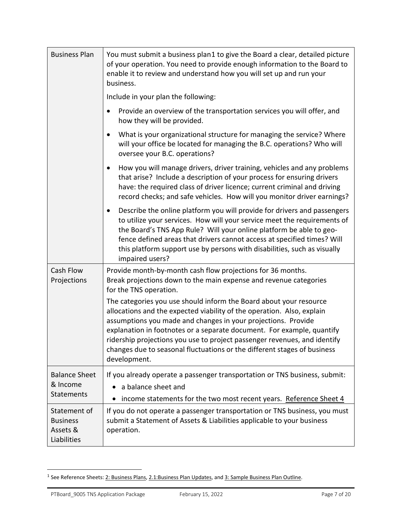| <b>Business Plan</b>                                       | You must submit a business plan1 to give the Board a clear, detailed picture<br>of your operation. You need to provide enough information to the Board to<br>enable it to review and understand how you will set up and run your<br>business.                                                                                                                                                                                                                    |  |  |  |  |
|------------------------------------------------------------|------------------------------------------------------------------------------------------------------------------------------------------------------------------------------------------------------------------------------------------------------------------------------------------------------------------------------------------------------------------------------------------------------------------------------------------------------------------|--|--|--|--|
|                                                            | Include in your plan the following:                                                                                                                                                                                                                                                                                                                                                                                                                              |  |  |  |  |
|                                                            | Provide an overview of the transportation services you will offer, and<br>how they will be provided.                                                                                                                                                                                                                                                                                                                                                             |  |  |  |  |
|                                                            | What is your organizational structure for managing the service? Where<br>will your office be located for managing the B.C. operations? Who will<br>oversee your B.C. operations?                                                                                                                                                                                                                                                                                 |  |  |  |  |
|                                                            | How you will manage drivers, driver training, vehicles and any problems<br>that arise? Include a description of your process for ensuring drivers<br>have: the required class of driver licence; current criminal and driving<br>record checks; and safe vehicles. How will you monitor driver earnings?                                                                                                                                                         |  |  |  |  |
|                                                            | Describe the online platform you will provide for drivers and passengers<br>to utilize your services. How will your service meet the requirements of<br>the Board's TNS App Rule? Will your online platform be able to geo-<br>fence defined areas that drivers cannot access at specified times? Will<br>this platform support use by persons with disabilities, such as visually<br>impaired users?                                                            |  |  |  |  |
| Cash Flow<br>Projections                                   | Provide month-by-month cash flow projections for 36 months.<br>Break projections down to the main expense and revenue categories<br>for the TNS operation.                                                                                                                                                                                                                                                                                                       |  |  |  |  |
|                                                            | The categories you use should inform the Board about your resource<br>allocations and the expected viability of the operation. Also, explain<br>assumptions you made and changes in your projections. Provide<br>explanation in footnotes or a separate document. For example, quantify<br>ridership projections you use to project passenger revenues, and identify<br>changes due to seasonal fluctuations or the different stages of business<br>development. |  |  |  |  |
| <b>Balance Sheet</b><br>& Income<br><b>Statements</b>      | If you already operate a passenger transportation or TNS business, submit:<br>a balance sheet and<br>income statements for the two most recent years. Reference Sheet 4<br>$\bullet$                                                                                                                                                                                                                                                                             |  |  |  |  |
| Statement of<br><b>Business</b><br>Assets &<br>Liabilities | If you do not operate a passenger transportation or TNS business, you must<br>submit a Statement of Assets & Liabilities applicable to your business<br>operation.                                                                                                                                                                                                                                                                                               |  |  |  |  |

<span id="page-6-0"></span><sup>&</sup>lt;sup>1</sup> See Reference Sheets[: 2: Business Plans,](https://www.th.gov.bc.ca/forms/getForm.aspx?formId=1196) [2.1:Business Plan Updates,](https://www.th.gov.bc.ca/forms/getForm.aspx?formId=1347) an[d 3: Sample Business Plan Outline.](https://www.th.gov.bc.ca/forms/getForm.aspx?formId=1195)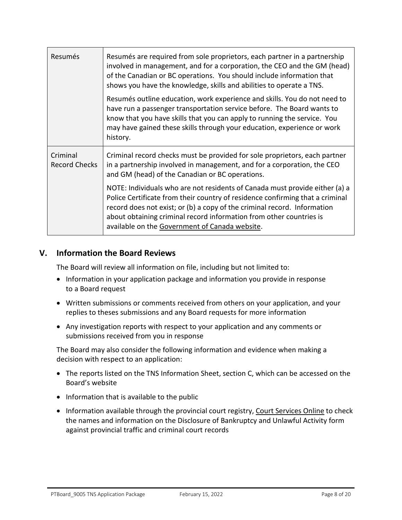| Resumés                          | Resumés are required from sole proprietors, each partner in a partnership<br>involved in management, and for a corporation, the CEO and the GM (head)<br>of the Canadian or BC operations. You should include information that<br>shows you have the knowledge, skills and abilities to operate a TNS.                                                            |  |  |  |
|----------------------------------|-------------------------------------------------------------------------------------------------------------------------------------------------------------------------------------------------------------------------------------------------------------------------------------------------------------------------------------------------------------------|--|--|--|
|                                  | Resumés outline education, work experience and skills. You do not need to<br>have run a passenger transportation service before. The Board wants to<br>know that you have skills that you can apply to running the service. You<br>may have gained these skills through your education, experience or work<br>history.                                            |  |  |  |
| Criminal<br><b>Record Checks</b> | Criminal record checks must be provided for sole proprietors, each partner<br>in a partnership involved in management, and for a corporation, the CEO<br>and GM (head) of the Canadian or BC operations.                                                                                                                                                          |  |  |  |
|                                  | NOTE: Individuals who are not residents of Canada must provide either (a) a<br>Police Certificate from their country of residence confirming that a criminal<br>record does not exist; or (b) a copy of the criminal record. Information<br>about obtaining criminal record information from other countries is<br>available on the Government of Canada website. |  |  |  |

# <span id="page-7-0"></span>**V. Information the Board Reviews**

The Board will review all information on file, including but not limited to:

- Information in your application package and information you provide in response to a Board request
- Written submissions or comments received from others on your application, and your replies to theses submissions and any Board requests for more information
- Any investigation reports with respect to your application and any comments or submissions received from you in response

The Board may also consider the following information and evidence when making a decision with respect to an application:

- The reports listed on the TNS Information Sheet, section C, which can be accessed on the Board's website
- Information that is available to the public
- Information available through the provincial court registry, [Court Services Online](https://justice.gov.bc.ca/cso/index.do) to check the names and information on the Disclosure of Bankruptcy and Unlawful Activity form against provincial traffic and criminal court records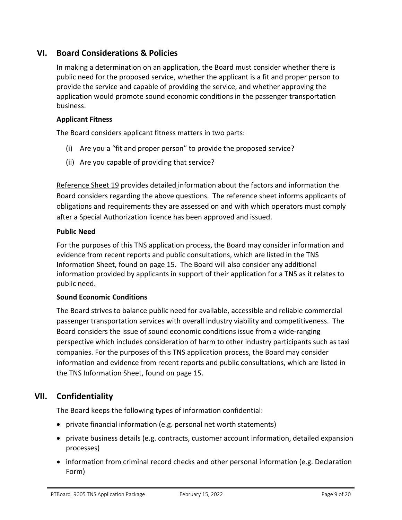# <span id="page-8-0"></span>**VI. Board Considerations & Policies**

In making a determination on an application, the Board must consider whether there is public need for the proposed service, whether the applicant is a fit and proper person to provide the service and capable of providing the service, and whether approving the application would promote sound economic conditions in the passenger transportation business.

### **Applicant Fitness**

The Board considers applicant fitness matters in two parts:

- (i) Are you a "fit and proper person" to provide the proposed service?
- (ii) Are you capable of providing that service?

[Reference Sheet 19](http://www.th.gov.bc.ca/forms/getForm.aspx?formId=1358) provides detailed information about the factors and information the Board considers regarding the above questions. The reference sheet informs applicants of obligations and requirements they are assessed on and with which operators must comply after a Special Authorization licence has been approved and issued.

### **Public Need**

For the purposes of this TNS application process, the Board may consider information and evidence from recent reports and public consultations, which are listed in the TNS Information Sheet, found on page 15. The Board will also consider any additional information provided by applicants in support of their application for a TNS as it relates to public need.

### **Sound Economic Conditions**

The Board strives to balance public need for available, accessible and reliable commercial passenger transportation services with overall industry viability and competitiveness. The Board considers the issue of sound economic conditions issue from a wide-ranging perspective which includes consideration of harm to other industry participants such as taxi companies. For the purposes of this TNS application process, the Board may consider information and evidence from recent reports and public consultations, which are listed in the TNS Information Sheet, found on page 15.

# <span id="page-8-1"></span>**VII. Confidentiality**

The Board keeps the following types of information confidential:

- private financial information (e.g. personal net worth statements)
- private business details (e.g. contracts, customer account information, detailed expansion processes)
- information from criminal record checks and other personal information (e.g. Declaration Form)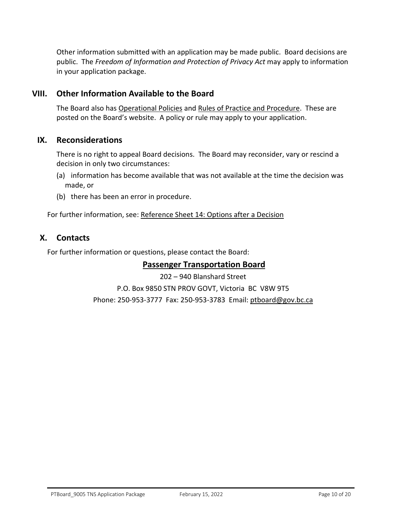Other information submitted with an application may be made public. Board decisions are public. The *Freedom of Information and Protection of Privacy Act* may apply to information in your application package.

# **VIII. Other Information Available to the Board**

The Board also has [Operational Policies](https://www.ptboard.bc.ca/operational_policies.htm) and [Rules of Practice and Procedure.](https://www.ptboard.bc.ca/practice_procedure.htm) These are posted on the Board's website. A policy or rule may apply to your application.

# <span id="page-9-0"></span>**IX. Reconsiderations**

There is no right to appeal Board decisions. The Board may reconsider, vary or rescind a decision in only two circumstances:

- (a) information has become available that was not available at the time the decision was made, or
- (b) there has been an error in procedure.

For further information, see: [Reference Sheet 14: Options after a Decision](https://www.th.gov.bc.ca/forms/getForm.aspx?formId=1206)

# <span id="page-9-1"></span>**X. Contacts**

For further information or questions, please contact the Board:

# **[Passenger Transportation Board](https://www.ptboard.bc.ca/modernization.htm)**

202 – 940 Blanshard Street P.O. Box 9850 STN PROV GOVT, Victoria BC V8W 9T5 Phone: 250-953-3777 Fax: 250-953-3783 Email: [ptboard@gov.bc.ca](mailto:ptboard@gov.bc.ca)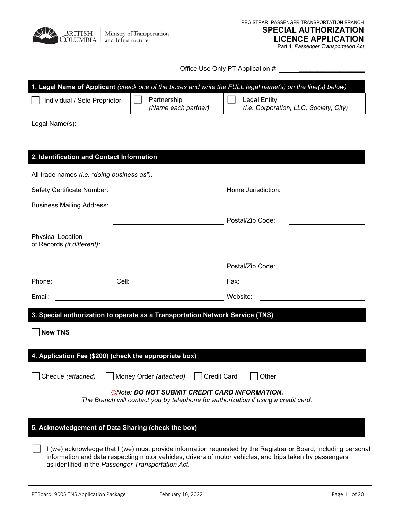

#### Office Use Only PT Application # \_\_\_\_\_\_\_\_\_\_\_\_\_\_\_\_\_\_

|                                                                                                                                                                                                                                                                                   |                                                                                                                                                                 | 1. Legal Name of Applicant (check one of the boxes and write the FULL legal name(s) on the line(s) below)                                                                                                                     |  |  |  |  |  |
|-----------------------------------------------------------------------------------------------------------------------------------------------------------------------------------------------------------------------------------------------------------------------------------|-----------------------------------------------------------------------------------------------------------------------------------------------------------------|-------------------------------------------------------------------------------------------------------------------------------------------------------------------------------------------------------------------------------|--|--|--|--|--|
| Individual / Sole Proprietor                                                                                                                                                                                                                                                      | Partnership<br>(Name each partner)                                                                                                                              | <b>Legal Entity</b><br>(i.e. Corporation, LLC, Society, City)                                                                                                                                                                 |  |  |  |  |  |
| Legal Name(s):                                                                                                                                                                                                                                                                    | <u> 1989 - Johann Stoff, deutscher Stoffen und der Stoffen und der Stoffen und der Stoffen und der Stoffen und d</u>                                            |                                                                                                                                                                                                                               |  |  |  |  |  |
|                                                                                                                                                                                                                                                                                   |                                                                                                                                                                 |                                                                                                                                                                                                                               |  |  |  |  |  |
|                                                                                                                                                                                                                                                                                   |                                                                                                                                                                 |                                                                                                                                                                                                                               |  |  |  |  |  |
| 2. Identification and Contact Information                                                                                                                                                                                                                                         |                                                                                                                                                                 |                                                                                                                                                                                                                               |  |  |  |  |  |
|                                                                                                                                                                                                                                                                                   |                                                                                                                                                                 |                                                                                                                                                                                                                               |  |  |  |  |  |
|                                                                                                                                                                                                                                                                                   |                                                                                                                                                                 |                                                                                                                                                                                                                               |  |  |  |  |  |
| <b>Business Mailing Address:</b>                                                                                                                                                                                                                                                  |                                                                                                                                                                 | <u> Alexandria de la contrada de la contrada de la contrada de la contrada de la contrada de la contrada de la c</u>                                                                                                          |  |  |  |  |  |
|                                                                                                                                                                                                                                                                                   |                                                                                                                                                                 | the control of the control of the control of the control of the control of the control of the control of the control of the control of the control of the control of the control of the control of the control of the control |  |  |  |  |  |
| <b>Physical Location</b>                                                                                                                                                                                                                                                          |                                                                                                                                                                 | ,我们也不会有什么。""我们的人,我们也不会有什么?""我们的人,我们也不会有什么?""我们的人,我们也不会有什么?""我们的人,我们也不会有什么?""我们的人                                                                                                                                              |  |  |  |  |  |
| of Records (if different):                                                                                                                                                                                                                                                        |                                                                                                                                                                 |                                                                                                                                                                                                                               |  |  |  |  |  |
|                                                                                                                                                                                                                                                                                   |                                                                                                                                                                 | Postal/Zip Code:                                                                                                                                                                                                              |  |  |  |  |  |
|                                                                                                                                                                                                                                                                                   |                                                                                                                                                                 |                                                                                                                                                                                                                               |  |  |  |  |  |
|                                                                                                                                                                                                                                                                                   | Phone: Cell: Cell: Cell: Cell: Cell: Cell: Cell: Cell: Cell: Cell: Cell: Cell: Cell: Cell: Cell: Cell: Cell: C                                                  | Fax:<br><u> 1989 - Johann Barbara, martxa alemaniar a</u>                                                                                                                                                                     |  |  |  |  |  |
| Email:                                                                                                                                                                                                                                                                            | <u> 1980 - Johann Stein, marwolaethau a bhann an t-Amhain Aonaich an t-Amhain Aonaich an t-Amhain Aonaich an t-A</u>                                            | Website:                                                                                                                                                                                                                      |  |  |  |  |  |
| 3. Special authorization to operate as a Transportation Network Service (TNS)                                                                                                                                                                                                     |                                                                                                                                                                 |                                                                                                                                                                                                                               |  |  |  |  |  |
| <b>New TNS</b>                                                                                                                                                                                                                                                                    |                                                                                                                                                                 |                                                                                                                                                                                                                               |  |  |  |  |  |
|                                                                                                                                                                                                                                                                                   |                                                                                                                                                                 |                                                                                                                                                                                                                               |  |  |  |  |  |
| 4. Application Fee (\$200) (check the appropriate box)                                                                                                                                                                                                                            |                                                                                                                                                                 |                                                                                                                                                                                                                               |  |  |  |  |  |
|                                                                                                                                                                                                                                                                                   | □ Cheque (attached) □ Money Order (attached) □ Credit Card                                                                                                      | Other                                                                                                                                                                                                                         |  |  |  |  |  |
|                                                                                                                                                                                                                                                                                   |                                                                                                                                                                 |                                                                                                                                                                                                                               |  |  |  |  |  |
|                                                                                                                                                                                                                                                                                   | <b><i><u><b>ONote: DO NOT SUBMIT CREDIT CARD INFORMATION.</b></u></i></b><br>The Branch will contact you by telephone for authorization if using a credit card. |                                                                                                                                                                                                                               |  |  |  |  |  |
|                                                                                                                                                                                                                                                                                   |                                                                                                                                                                 |                                                                                                                                                                                                                               |  |  |  |  |  |
| 5. Acknowledgement of Data Sharing (check the box)                                                                                                                                                                                                                                |                                                                                                                                                                 |                                                                                                                                                                                                                               |  |  |  |  |  |
| I (we) acknowledge that I (we) must provide information requested by the Registrar or Board, including personal<br>information and data respecting motor vehicles, drivers of motor vehicles, and trips taken by passengers<br>as identified in the Passenger Transportation Act. |                                                                                                                                                                 |                                                                                                                                                                                                                               |  |  |  |  |  |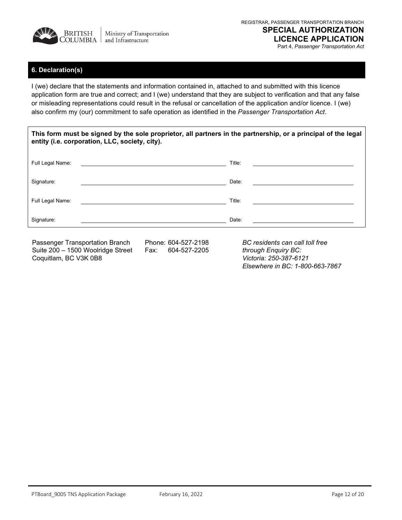

Ministry of Transportation and Infrastructure

### **6. Declaration(s)**

I (we) declare that the statements and information contained in, attached to and submitted with this licence application form are true and correct; and I (we) understand that they are subject to verification and that any false or misleading representations could result in the refusal or cancellation of the application and/or licence. I (we) also confirm my (our) commitment to safe operation as identified in the *Passenger Transportation Act*.

| This form must be signed by the sole proprietor, all partners in the partnership, or a principal of the legal<br>entity (i.e. corporation, LLC, society, city). |        |                                               |  |  |
|-----------------------------------------------------------------------------------------------------------------------------------------------------------------|--------|-----------------------------------------------|--|--|
| Full Legal Name:                                                                                                                                                | Title: | <u> 1989 - Andrea Andrew Maria (h. 1989).</u> |  |  |
| Signature:                                                                                                                                                      | Date:  |                                               |  |  |
| Full Legal Name:                                                                                                                                                | Title: |                                               |  |  |
| Signature:                                                                                                                                                      | Date:  |                                               |  |  |

Phone: 604-527-2198 Fax: 604-527-2205

Passenger Transportation Branch Suite 200 – 1500 Woolridge Street Coquitlam, BC V3K 0B8

*BC residents can call toll free through Enquiry BC: Victoria: 250-387-6121 Elsewhere in BC: 1-800-663-7867*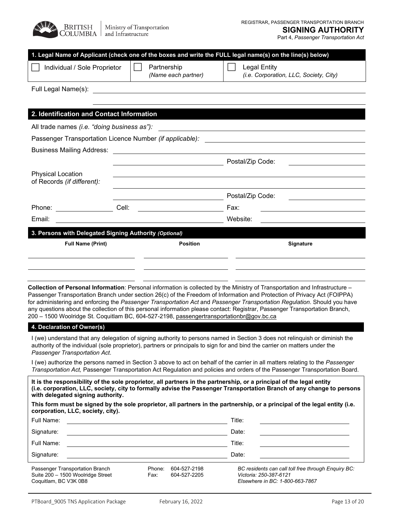

| 1. Legal Name of Applicant (check one of the boxes and write the FULL legal name(s) on the line(s) below) |                                                  |                                                                                                                       |  |  |  |  |
|-----------------------------------------------------------------------------------------------------------|--------------------------------------------------|-----------------------------------------------------------------------------------------------------------------------|--|--|--|--|
| Individual / Sole Proprietor                                                                              | Partnership<br>(Name each partner)               | <b>Legal Entity</b><br>(i.e. Corporation, LLC, Society, City)                                                         |  |  |  |  |
| Full Legal Name(s):                                                                                       |                                                  | <u> 1989 - Johann Barn, mars ann an t-Amhain Aonaichte ann an t-Amhain Aonaichte ann an t-Amhain Aonaichte ann an</u> |  |  |  |  |
|                                                                                                           |                                                  |                                                                                                                       |  |  |  |  |
| 2. Identification and Contact Information                                                                 |                                                  |                                                                                                                       |  |  |  |  |
| All trade names (i.e. "doing business as"):                                                               |                                                  |                                                                                                                       |  |  |  |  |
| Passenger Transportation Licence Number (if applicable):                                                  |                                                  |                                                                                                                       |  |  |  |  |
| <b>Business Mailing Address:</b>                                                                          |                                                  |                                                                                                                       |  |  |  |  |
|                                                                                                           |                                                  | Postal/Zip Code:                                                                                                      |  |  |  |  |
| <b>Physical Location</b>                                                                                  |                                                  |                                                                                                                       |  |  |  |  |
| of Records (if different):                                                                                |                                                  |                                                                                                                       |  |  |  |  |
|                                                                                                           |                                                  | Postal/Zip Code:                                                                                                      |  |  |  |  |
| Phone: <u>_______________</u>                                                                             | Cell:                                            | Fax:                                                                                                                  |  |  |  |  |
| Email:                                                                                                    | <u> 1980 - Jan Stein, amerikansk politiker (</u> | Website:                                                                                                              |  |  |  |  |
| 3. Persons with Delegated Signing Authority (Optional)                                                    |                                                  |                                                                                                                       |  |  |  |  |
| <b>Full Name (Print)</b>                                                                                  | <b>Position</b>                                  | Signature                                                                                                             |  |  |  |  |
|                                                                                                           |                                                  |                                                                                                                       |  |  |  |  |
|                                                                                                           |                                                  |                                                                                                                       |  |  |  |  |
|                                                                                                           |                                                  |                                                                                                                       |  |  |  |  |

**Collection of Personal Information**: Personal information is collected by the Ministry of Transportation and Infrastructure – Passenger Transportation Branch under section 26(c) of the Freedom of Information and Protection of Privacy Act (FOIPPA) for administering and enforcing the *Passenger Transportation Act* and *Passenger Transportation Regulation*. Should you have any questions about the collection of this personal information please contact: Registrar, Passenger Transportation Branch, 200 – 1500 Woolridge St. Coquitlam BC, 604-527-2198, [passengertransportationbr@gov.bc.ca](mailto:passengertransportationbr@gov.bc.ca)

#### **4. Declaration of Owner(s)**

I (we) understand that any delegation of signing authority to persons named in Section 3 does not relinquish or diminish the authority of the individual (sole proprietor), partners or principals to sign for and bind the carrier on matters under the *Passenger Transportation Act*.

I (we) authorize the persons named in Section 3 above to act on behalf of the carrier in all matters relating to the *Passenger Transportation Act,* Passenger Transportation Act Regulation and policies and orders of the Passenger Transportation Board.

| It is the responsibility of the sole proprietor, all partners in the partnership, or a principal of the legal entity       |  |  |
|----------------------------------------------------------------------------------------------------------------------------|--|--|
| (i.e. corporation, LLC, society, city to formally advise the Passenger Transportation Branch of any change to persons      |  |  |
| with delegated signing authority.                                                                                          |  |  |
| This form must be signed by the sole proprietor, all partners in the partnership, or a principal of the legal entity (i.e. |  |  |

| corporation, LLC, society, city).                                                             |                |                              |                                                                                                                  |  |  |  |
|-----------------------------------------------------------------------------------------------|----------------|------------------------------|------------------------------------------------------------------------------------------------------------------|--|--|--|
| Full Name:                                                                                    |                |                              | Title:                                                                                                           |  |  |  |
| Signature:                                                                                    |                |                              | Date:                                                                                                            |  |  |  |
| Full Name:                                                                                    |                |                              | Title:                                                                                                           |  |  |  |
| Signature:                                                                                    |                |                              | Date:                                                                                                            |  |  |  |
| Passenger Transportation Branch<br>Suite 200 - 1500 Woolridge Street<br>Coquitlam, BC V3K 0B8 | Phone:<br>Fax: | 604-527-2198<br>604-527-2205 | BC residents can call toll free through Enquiry BC:<br>Victoria: 250-387-6121<br>Elsewhere in BC: 1-800-663-7867 |  |  |  |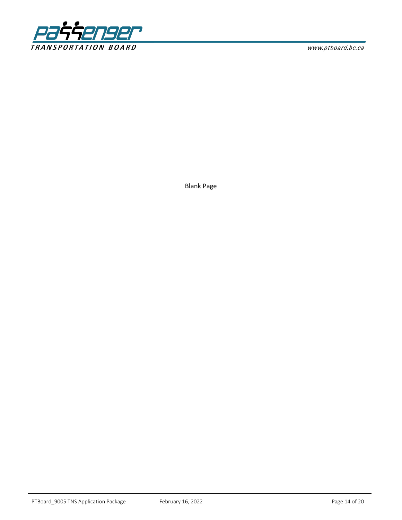

Blank Page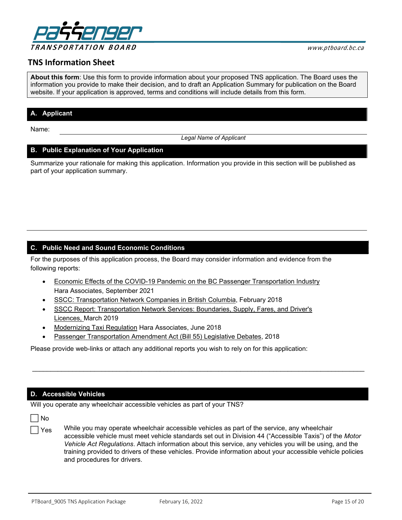

### **TNS Information Sheet**

**About this form**: Use this form to provide information about your proposed TNS application. The Board uses the information you provide to make their decision, and to draft an Application Summary for publication on the Board website. If your application is approved, terms and conditions will include details from this form.

#### **A. Applicant**

Name:

*Legal Name of Applicant*

#### **B. Public Explanation of Your Application**

Summarize your rationale for making this application. Information you provide in this section will be published as part of your application summary.

#### **C. Public Need and Sound Economic Conditions**

For the purposes of this application process, the Board may consider information and evidence from the following reports:

- [Economic Effects of the COVID-19 Pandemic on the BC Passenger Transportation Industry](https://www.ptboard.bc.ca/documents/20210922-Economic-Effectsof-Covid-19.pdf) Hara Associates, September 2021
- [SSCC: Transportation Network Companies in British Columbia,](https://www.leg.bc.ca/content/CommitteeDocuments/41st-parliament/2nd-session/CrownCorporations/Report/SSC-CC_41-2_Report-2018-02-15_Web.pdf) February 2018
- [SSCC Report: Transportation Network Services: Boundaries, Supply, Fares, and Driver's](https://www.leg.bc.ca/parliamentary-business/committees/41stParliament-4thSession-cc) [Licences, March 2019](https://www.leg.bc.ca/parliamentary-business/committees/41stParliament-4thSession-cc)
- [Modernizing Taxi Regulation](https://www2.gov.bc.ca/assets/gov/driving-and-transportation/cvse/passenger-transportation/industry-notices/20180718-modernizing-taxi-regulation.pdf) Hara Associates, June 2018
- [Passenger Transportation Amendment Act \(Bill 55\) Legislative Debates,](https://www.leg.bc.ca/documents-data/indexes/view#41st-parliament&3rd-session&2018-Subject-Indexp) 2018

Please provide web-links or attach any additional reports you wish to rely on for this application:

#### **D. Accessible Vehicles**

Will you operate any wheelchair accessible vehicles as part of your TNS?

No

Yes While you may operate wheelchair accessible vehicles as part of the service, any wheelchair accessible vehicle must meet vehicle standards set out in Division 44 ("Accessible Taxis") of the *Motor Vehicle Act Regulations*. Attach information about this service, any vehicles you will be using, and the training provided to drivers of these vehicles. Provide information about your accessible vehicle policies and procedures for drivers.

\_\_\_\_\_\_\_\_\_\_\_\_\_\_\_\_\_\_\_\_\_\_\_\_\_\_\_\_\_\_\_\_\_\_\_\_\_\_\_\_\_\_\_\_\_\_\_\_\_\_\_\_\_\_\_\_\_\_\_\_\_\_\_\_\_\_\_\_\_\_\_\_\_\_\_\_\_\_\_\_\_\_\_\_\_\_\_\_\_\_\_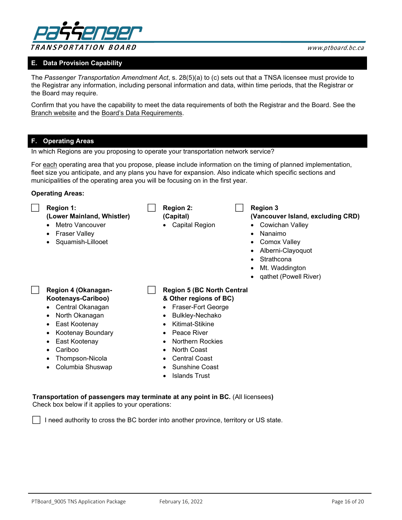

#### **E. Data Provision Capability**

The *Passenger Transportation Amendment Act*, s. 28(5)(a) to (c) sets out that a TNSA licensee must provide to the Registrar any information, including personal information and data, within time periods, that the Registrar or the Board may require.

Confirm that you have the capability to meet the data requirements of both the Registrar and the Board. See the [Branch website](http://www.th.gov.bc.ca/rpt/) and the [Board's Data Requirements.](http://www.th.gov.bc.ca/ptb/documents/Data_Requirements.pdf)

#### **F. Operating Areas**

In which Regions are you proposing to operate your transportation network service?

For each operating area that you propose, please include information on the timing of planned implementation, fleet size you anticipate, and any plans you have for expansion. Also indicate which specific sections and municipalities of the operating area you will be focusing on in the first year.

#### **Operating Areas:**

|                                                                                                                                     | Region 1:<br>(Lower Mainland, Whistler)<br>Metro Vancouver<br><b>Fraser Valley</b><br>$\bullet$<br>Squamish-Lillooet                                                                                      |  | <b>Region 2:</b><br>(Capital)<br>Capital Region                                                                                                                                                                                                                       |  | <b>Region 3</b><br>(Vancouver Island, excluding CRD)<br>Cowichan Valley<br>$\bullet$<br>Nanaimo<br>Comox Valley<br>٠<br>Alberni-Clayoquot<br>Strathcona<br>Mt. Waddington<br>qathet (Powell River) |
|-------------------------------------------------------------------------------------------------------------------------------------|-----------------------------------------------------------------------------------------------------------------------------------------------------------------------------------------------------------|--|-----------------------------------------------------------------------------------------------------------------------------------------------------------------------------------------------------------------------------------------------------------------------|--|----------------------------------------------------------------------------------------------------------------------------------------------------------------------------------------------------|
|                                                                                                                                     | <b>Region 4 (Okanagan-</b><br>Kootenays-Cariboo)<br>Central Okanagan<br>North Okanagan<br>٠<br>East Kootenay<br>٠<br>Kootenay Boundary<br>East Kootenay<br>Cariboo<br>Thompson-Nicola<br>Columbia Shuswap |  | <b>Region 5 (BC North Central</b><br>& Other regions of BC)<br><b>Fraser-Fort George</b><br>٠<br><b>Bulkley-Nechako</b><br>Kitimat-Stikine<br>Peace River<br><b>Northern Rockies</b><br><b>North Coast</b><br><b>Central Coast</b><br>Sunshine Coast<br>Islands Trust |  |                                                                                                                                                                                                    |
| Transportation of passengers may terminate at any point in BC. (All licensees)<br>Check box below if it applies to your operations: |                                                                                                                                                                                                           |  |                                                                                                                                                                                                                                                                       |  |                                                                                                                                                                                                    |

I need authority to cross the BC border into another province, territory or US state.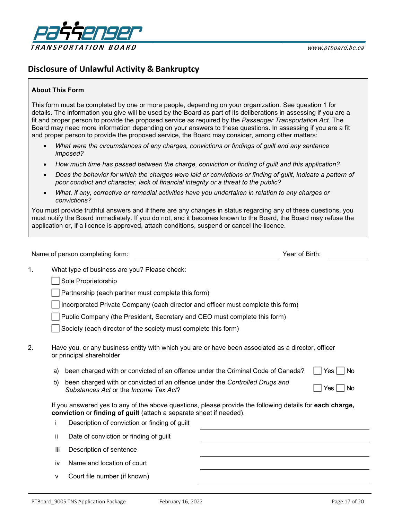

# **Disclosure of Unlawful Activity & Bankruptcy**

#### **About This Form**

This form must be completed by one or more people, depending on your organization. See question 1 for details. The information you give will be used by the Board as part of its deliberations in assessing if you are a fit and proper person to provide the proposed service as required by the *Passenger Transportation Act*. The Board may need more information depending on your answers to these questions. In assessing if you are a fit and proper person to provide the proposed service, the Board may consider, among other matters:

- *What were the circumstances of any charges, convictions or findings of guilt and any sentence imposed?*
- *How much time has passed between the charge, conviction or finding of guilt and this application?*
- *Does the behavior for which the charges were laid or convictions or finding of guilt, indicate a pattern of poor conduct and character, lack of financial integrity or a threat to the public?*
- *What, if any, corrective or remedial activities have you undertaken in relation to any charges or convictions?*

You must provide truthful answers and if there are any changes in status regarding any of these questions, you must notify the Board immediately. If you do not, and it becomes known to the Board, the Board may refuse the application or, if a licence is approved, attach conditions, suspend or cancel the licence.

| Name of person completing form:                                                  |                                                                                                                                                                                                                                                                                                                                                                                         |                                                                |  | Year of Birth: |  |  |
|----------------------------------------------------------------------------------|-----------------------------------------------------------------------------------------------------------------------------------------------------------------------------------------------------------------------------------------------------------------------------------------------------------------------------------------------------------------------------------------|----------------------------------------------------------------|--|----------------|--|--|
| 1.                                                                               | What type of business are you? Please check:                                                                                                                                                                                                                                                                                                                                            |                                                                |  |                |  |  |
|                                                                                  |                                                                                                                                                                                                                                                                                                                                                                                         | Sole Proprietorship                                            |  |                |  |  |
|                                                                                  |                                                                                                                                                                                                                                                                                                                                                                                         | Partnership (each partner must complete this form)             |  |                |  |  |
| Incorporated Private Company (each director and officer must complete this form) |                                                                                                                                                                                                                                                                                                                                                                                         |                                                                |  |                |  |  |
| Public Company (the President, Secretary and CEO must complete this form)        |                                                                                                                                                                                                                                                                                                                                                                                         |                                                                |  |                |  |  |
|                                                                                  |                                                                                                                                                                                                                                                                                                                                                                                         | Society (each director of the society must complete this form) |  |                |  |  |
| 2.                                                                               | Have you, or any business entity with which you are or have been associated as a director, officer<br>or principal shareholder<br>been charged with or convicted of an offence under the Criminal Code of Canada?<br>Yes<br>No.<br>a)<br>been charged with or convicted of an offence under the Controlled Drugs and<br>b)<br><b>No</b><br>Yes<br>Substances Act or the Income Tax Act? |                                                                |  |                |  |  |
|                                                                                  | If you answered yes to any of the above questions, please provide the following details for each charge,<br>conviction or finding of guilt (attach a separate sheet if needed).                                                                                                                                                                                                         |                                                                |  |                |  |  |
|                                                                                  | i.                                                                                                                                                                                                                                                                                                                                                                                      | Description of conviction or finding of guilt                  |  |                |  |  |
|                                                                                  | ij.                                                                                                                                                                                                                                                                                                                                                                                     | Date of conviction or finding of guilt                         |  |                |  |  |
|                                                                                  | lii                                                                                                                                                                                                                                                                                                                                                                                     | Description of sentence                                        |  |                |  |  |
|                                                                                  | iv                                                                                                                                                                                                                                                                                                                                                                                      | Name and location of court                                     |  |                |  |  |
|                                                                                  | v                                                                                                                                                                                                                                                                                                                                                                                       | Court file number (if known)                                   |  |                |  |  |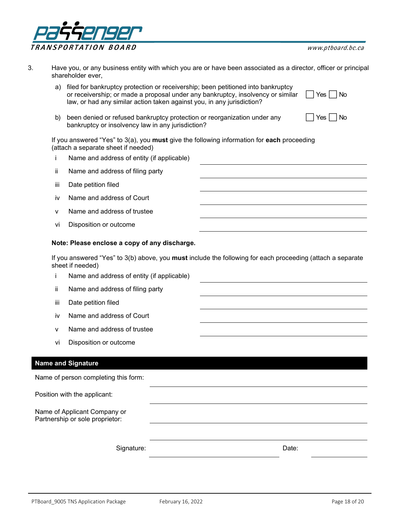

| | Yes | | No



3. Have you, or any business entity with which you are or have been associated as a director, officer or principal shareholder ever,

| a) filed for bankruptcy protection or receivership; been petitioned into bankruptcy                  |  |
|------------------------------------------------------------------------------------------------------|--|
| or receivership; or made a proposal under any bankruptcy, insolvency or similar $\Box$ Yes $\Box$ No |  |
| law, or had any similar action taken against you, in any jurisdiction?                               |  |

b) been denied or refused bankruptcy protection or reorganization under any bankruptcy or insolvency law in any jurisdiction?

If you answered "Yes" to 3(a), you **must** give the following information for **each** proceeding (attach a separate sheet if needed)

| ii. |  | Name and address of filing party |  |  |
|-----|--|----------------------------------|--|--|
|     |  |                                  |  |  |

- iii Date petition filed
- iv Name and address of Court
- v Name and address of trustee
- vi Disposition or outcome

#### **Note: Please enclose a copy of any discharge.**

If you answered "Yes" to 3(b) above, you **must** include the following for each proceeding (attach a separate sheet if needed)

- i Name and address of entity (if applicable)
- ii Name and address of filing party
- iii Date petition filed
- iv Name and address of Court
- v Name and address of trustee
- vi Disposition or outcome

#### **Name and Signature**

Name of person completing this form:

Position with the applicant:

Name of Applicant Company or Partnership or sole proprietor:

Signature: Date: Date: Date: Date: Date: Date: Date: Date: Date: Date: Date: Date: Date: Date: Date: Date: Date: Date: Date: Date: Date: Date: Date: Date: Date: Date: Date: Date: Date: Date: Date: Date: Date: Date: Date: D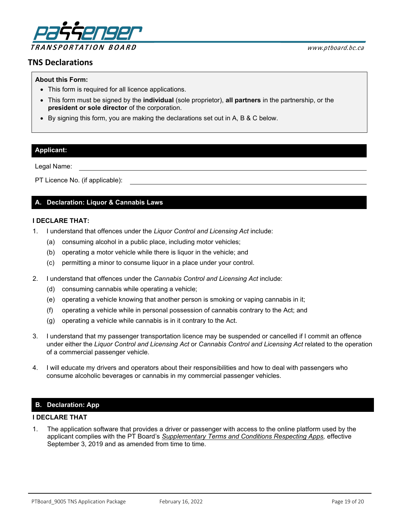

### **TNS Declarations**

#### **About this Form:**

- This form is required for all licence applications.
- This form must be signed by the **individual** (sole proprietor), **all partners** in the partnership, or the **president or sole director** of the corporation.
- By signing this form, you are making the declarations set out in A, B & C below.

#### **Applicant:**

Legal Name:

PT Licence No. (if applicable):

### **A. Declaration: Liquor & Cannabis Laws**

#### **I DECLARE THAT:**

- 1. I understand that offences under the *Liquor Control and Licensing Act* include:
	- (a) consuming alcohol in a public place, including motor vehicles;
	- (b) operating a motor vehicle while there is liquor in the vehicle; and
	- (c) permitting a minor to consume liquor in a place under your control.
- 2. I understand that offences under the *Cannabis Control and Licensing Act* include:
	- (d) consuming cannabis while operating a vehicle;
	- (e) operating a vehicle knowing that another person is smoking or vaping cannabis in it;
	- (f) operating a vehicle while in personal possession of cannabis contrary to the Act; and
	- (g) operating a vehicle while cannabis is in it contrary to the Act.
- 3. I understand that my passenger transportation licence may be suspended or cancelled if I commit an offence under either the *Liquor Control and Licensing Act* or *Cannabis Control and Licensing Act* related to the operation of a commercial passenger vehicle.
- 4. I will educate my drivers and operators about their responsibilities and how to deal with passengers who consume alcoholic beverages or cannabis in my commercial passenger vehicles.

#### **B. Declaration: App**

#### **I DECLARE THAT**

1. The application software that provides a driver or passenger with access to the online platform used by the applicant complies with the PT Board's *[Supplementary Terms and Conditions Respecting Apps,](http://www.th.gov.bc.ca/ptb/documents/TNSA-Apps-T&Cs.pdf)* effective September 3, 2019 and as amended from time to time.